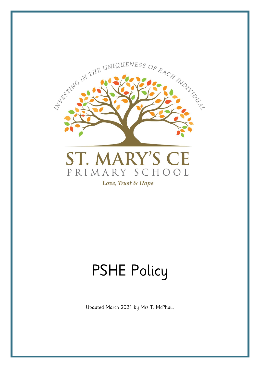

# PSHE Policy

Updated March 2021 by Mrs T. McPhail.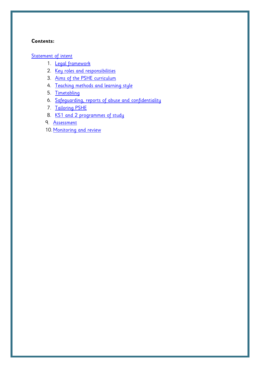# **Contents:**

[Statement of intent](#page-2-0)

- 1. [Legal framework](#page-3-0)
- 2. [Key roles and responsibilities](#page-3-1)
- 3. [Aims of the PSHE curriculum](#page-4-0)
- 4. [Teaching methods and learning style](#page-4-1)
- 5. [Timetabling](#page-5-0)
- 6. [Safeguarding, reports of abuse](#page-5-1) and confidentiality
- 7. [Tailoring PSHE](#page-7-0)
- 8. KS1 and 2 programmes of study
- 9. [Assessment](#page-15-0)
- 10. [Monitoring and review](#page-16-0)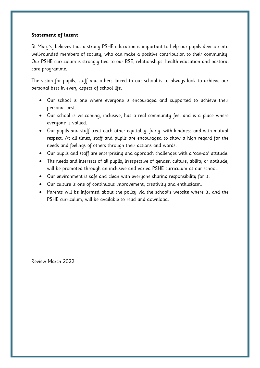# <span id="page-2-0"></span>**Statement of intent**

St Mary's believes that a strong PSHE education is important to help our pupils develop into well-rounded members of society, who can make a positive contribution to their community. Our PSHE curriculum is strongly tied to our RSE, relationships, health education and pastoral care programme.

The vision for pupils, staff and others linked to our school is to always look to achieve our personal best in every aspect of school life.

- Our school is one where everyone is encouraged and supported to achieve their personal best.
- Our school is welcoming, inclusive, has a real community feel and is a place where everyone is valued.
- Our pupils and staff treat each other equitably, fairly, with kindness and with mutual respect. At all times, staff and pupils are encouraged to show a high regard for the needs and feelings of others through their actions and words.
- Our pupils and staff are enterprising and approach challenges with a 'can-do' attitude.
- The needs and interests of all pupils, irrespective of gender, culture, ability or aptitude, will be promoted through an inclusive and varied PSHE curriculum at our school.
- Our environment is safe and clean with everyone sharing responsibility for it.
- Our culture is one of continuous improvement, creativity and enthusiasm.
- Parents will be informed about the policy via the school's website where it, and the PSHE curriculum, will be available to read and download.

Review March 2022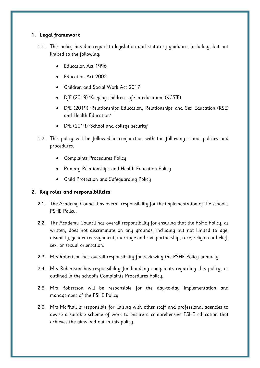# <span id="page-3-0"></span>**1. Legal framework**

- 1.1. This policy has due regard to legislation and statutory guidance, including, but not limited to the following:
	- Education Act 1996
	- Education Act 2002
	- Children and Social Work Act 2017
	- DfE (2019) 'Keeping children safe in education' (KCSIE)
	- DfE (2019) 'Relationships Education, Relationships and Sex Education (RSE) and Health Education'
	- DfE (2019) 'School and college security'
- 1.2. This policy will be followed in conjunction with the following school policies and procedures:
	- Complaints Procedures Policy
	- Primary Relationships and Health Education Policy
	- Child Protection and Safeguarding Policy

# <span id="page-3-1"></span>**2. Key roles and responsibilities**

- 2.1. The Academy Council has overall responsibility for the implementation of the school's PSHE Policy.
- 2.2. The Academy Council has overall responsibility for ensuring that the PSHE Policy, as written, does not discriminate on any grounds, including but not limited to age, disability, gender reassignment, marriage and civil partnership, race, religion or belief, sex, or sexual orientation.
- 2.3. Mrs Robertson has overall responsibility for reviewing the PSHE Policy annually.
- 2.4. Mrs Robertson has responsibility for handling complaints regarding this policy, as outlined in the school's Complaints Procedures Policy.
- 2.5. Mrs Robertson will be responsible for the day-to-day implementation and management of the PSHE Policy.
- 2.6. Mrs McPhail is responsible for liaising with other staff and professional agencies to devise a suitable scheme of work to ensure a comprehensive PSHE education that achieves the aims laid out in this policy.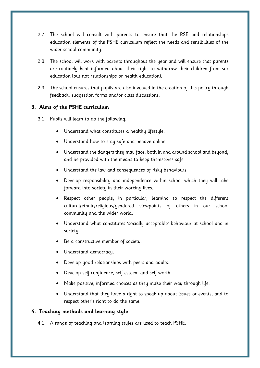- 2.7. The school will consult with parents to ensure that the RSE and relationships education elements of the PSHE curriculum reflect the needs and sensibilities of the wider school community.
- 2.8. The school will work with parents throughout the year and will ensure that parents are routinely kept informed about their right to withdraw their children from sex education (but not relationships or health education).
- 2.9. The school ensures that pupils are also involved in the creation of this policy through feedback, suggestion forms and/or class discussions.

# <span id="page-4-0"></span>**3. Aims of the PSHE curriculum**

- 3.1. Pupils will learn to do the following:
	- Understand what constitutes a healthy lifestyle.
	- Understand how to stay safe and behave online.
	- Understand the dangers they may face, both in and around school and beyond, and be provided with the means to keep themselves safe.
	- Understand the law and consequences of risky behaviours.
	- Develop responsibility and independence within school which they will take forward into society in their working lives.
	- Respect other people, in particular, learning to respect the different cultural/ethnic/religious/gendered viewpoints of others in our school community and the wider world.
	- Understand what constitutes 'socially acceptable' behaviour at school and in society.
	- Be a constructive member of society.
	- Understand democracy.
	- Develop good relationships with peers and adults.
	- Develop self-confidence, self-esteem and self-worth.
	- Make positive, informed choices as they make their way through life.
	- Understand that they have a right to speak up about issues or events, and to respect other's right to do the same.

# <span id="page-4-1"></span>**4. Teaching methods and learning style**

4.1. A range of teaching and learning styles are used to teach PSHE.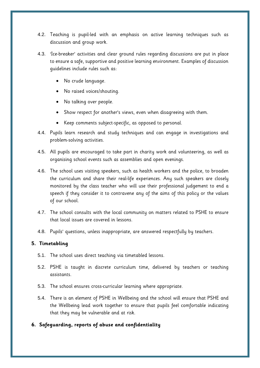- 4.2. Teaching is pupil-led with an emphasis on active learning techniques such as discussion and group work.
- 4.3. 'Ice-breaker' activities and clear ground rules regarding discussions are put in place to ensure a safe, supportive and positive learning environment. Examples of discussion guidelines include rules such as:
	- No crude language.
	- No raised voices/shouting.
	- No talking over people.
	- Show respect for another's views, even when disagreeing with them.
	- Keep comments subject-specific, as opposed to personal.
- 4.4. Pupils learn research and study techniques and can engage in investigations and problem-solving activities.
- 4.5. All pupils are encouraged to take part in charity work and volunteering, as well as organising school events such as assemblies and open evenings.
- 4.6. The school uses visiting speakers, such as health workers and the police, to broaden the curriculum and share their real-life experiences. Any such speakers are closely monitored by the class teacher who will use their professional judgement to end a speech if they consider it to contravene any of the aims of this policy or the values of our school.
- 4.7. The school consults with the local community on matters related to PSHE to ensure that local issues are covered in lessons.
- 4.8. Pupils' questions, unless inappropriate, are answered respectfully by teachers.

## <span id="page-5-0"></span>**5. Timetabling**

- 5.1. The school uses direct teaching via timetabled lessons.
- 5.2. PSHE is taught in discrete curriculum time, delivered by teachers or teaching assistants.
- 5.3. The school ensures cross-curricular learning where appropriate.
- 5.4. There is an element of PSHE in Wellbeing and the school will ensure that PSHE and the Wellbeing lead work together to ensure that pupils feel comfortable indicating that they may be vulnerable and at risk.

## <span id="page-5-1"></span>**6. Safeguarding, reports of abuse and confidentiality**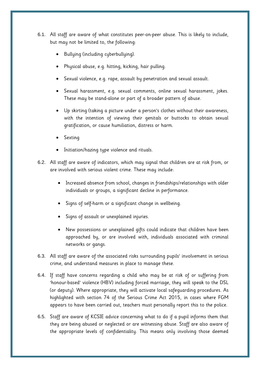- 6.1. All staff are aware of what constitutes peer-on-peer abuse. This is likely to include, but may not be limited to, the following:
	- Bullying (including cyberbullying).
	- Physical abuse, e.g. hitting, kicking, hair pulling.
	- Sexual violence, e.g. rape, assault by penetration and sexual assault.
	- Sexual harassment, e.g. sexual comments, online sexual harassment, jokes. These may be stand-alone or part of a broader pattern of abuse.
	- Up skirting (taking a picture under a person's clothes without their awareness, with the intention of viewing their genitals or buttocks to obtain sexual gratification, or cause humiliation, distress or harm.
	- Sexting
	- Initiation/hazing type violence and rituals.
- 6.2. All staff are aware of indicators, which may signal that children are at risk from, or are involved with serious violent crime. These may include:
	- Increased absence from school, changes in friendships/relationships with older individuals or groups, a significant decline in performance.
	- Signs of self-harm or a significant change in wellbeing.
	- Signs of assault or unexplained injuries.
	- New possessions or unexplained gifts could indicate that children have been approached by, or are involved with, individuals associated with criminal networks or gangs.
- 6.3. All staff are aware of the associated risks surrounding pupils' involvement in serious crime, and understand measures in place to manage these.
- 6.4. If staff have concerns regarding a child who may be at risk of or suffering from 'honour-based' violence (HBV) including forced marriage, they will speak to the DSL (or deputy). Where appropriate, they will activate local safeguarding procedures. As highlighted with section 74 of the Serious Crime Act 2015, in cases where FGM appears to have been carried out, teachers must personally report this to the police.
- 6.5. Staff are aware of KCSIE advice concerning what to do if a pupil informs them that they are being abused or neglected or are witnessing abuse. Staff are also aware of the appropriate levels of confidentiality. This means only involving those deemed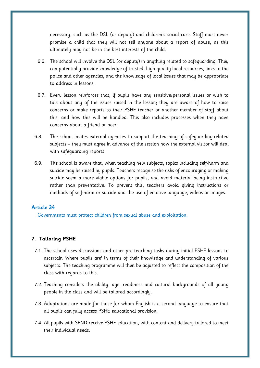necessary, such as the DSL (or deputy) and children's social care. Staff must never promise a child that they will not tell anyone about a report of abuse, as this ultimately may not be in the best interests of the child.

- 6.6. The school will involve the DSL (or deputy) in anything related to safeguarding. They can potentially provide knowledge of trusted, high quality local resources, links to the police and other agencies, and the knowledge of local issues that may be appropriate to address in lessons.
- 6.7. Every lesson reinforces that, if pupils have any sensitive/personal issues or wish to talk about any of the issues raised in the lesson; they are aware of how to raise concerns or make reports to their PSHE teacher or another member of staff about this, and how this will be handled. This also includes processes when they have concerns about a friend or peer.
- 6.8. The school invites external agencies to support the teaching of safeguarding-related subjects – they must agree in advance of the session how the external visitor will deal with safeguarding reports.
- 6.9. The school is aware that, when teaching new subjects, topics including self-harm and suicide may be raised by pupils. Teachers recognise the risks of encouraging or making suicide seem a more viable options for pupils, and avoid material being instructive rather than preventative. To prevent this, teachers avoid giving instructions or methods of self-harm or suicide and the use of emotive language, videos or images.

# **Article 34**

Governments must protect children from sexual abuse and exploitation.

## <span id="page-7-0"></span>**7. Tailoring PSHE**

- 7.1. The school uses discussions and other pre teaching tasks during initial PSHE lessons to ascertain 'where pupils are' in terms of their knowledge and understanding of various subjects. The teaching programme will then be adjusted to reflect the composition of the class with regards to this.
- 7.2. Teaching considers the ability, age, readiness and cultural backgrounds of all young people in the class and will be tailored accordingly.
- 7.3. Adaptations are made for those for whom English is a second language to ensure that all pupils can fully access PSHE educational provision.
- 7.4. All pupils with SEND receive PSHE education, with content and delivery tailored to meet their individual needs.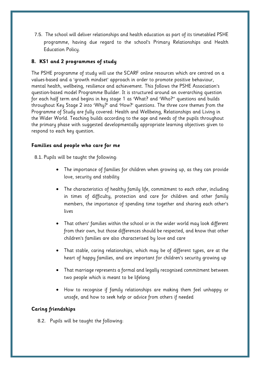7.5. The school will deliver relationships and health education as part of its timetabled PSHE programme, having due regard to the school's Primary Relationships and Health Education Policy.

# **8. KS1 and 2 programmes of study**

The PSHE programme of study will use the SCARF online resources which are centred on a values-based and a 'growth mindset' approach in order to promote positive behaviour, mental health, wellbeing, resilience and achievement. This follows the PSHE Association's question-based model Programme Builder. It is structured around an overarching question for each half term and begins in key stage 1 as 'What? and 'Who?'' questions and builds throughout Key Stage 2 into 'Why?' and 'How?' questions. The three core themes from the Programme of Study are fully covered: Health and Wellbeing, Relationships and Living in the Wider World. Teaching builds according to the age and needs of the pupils throughout the primary phase with suggested developmentally appropriate learning objectives given to respond to each key question.

# **Families and people who care for me**

8.1. Pupils will be taught the following:

- The importance of families for children when growing up, as they can provide love, security and stability
- The characteristics of healthy family life, commitment to each other, including in times of difficulty, protection and care for children and other family members, the importance of spending time together and sharing each other's lives
- That others' families within the school or in the wider world may look different from their own, but those differences should be respected, and know that other children's families are also characterised by love and care
- That stable, caring relationships, which may be of different types, are at the heart of happy families, and are important for children's security growing up
- That marriage represents a formal and legally recognised commitment between two people which is meant to be lifelong
- How to recognise if family relationships are making them feel unhappy or unsafe, and how to seek help or advice from others if needed

# **Caring friendships**

8.2. Pupils will be taught the following: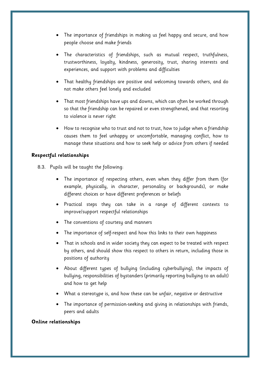- The importance of friendships in making us feel happy and secure, and how people choose and make friends
- The characteristics of friendships, such as mutual respect, truthfulness, trustworthiness, loyalty, kindness, generosity, trust, sharing interests and experiences, and support with problems and difficulties
- That healthy friendships are positive and welcoming towards others, and do not make others feel lonely and excluded
- That most friendships have ups and downs, which can often be worked through so that the friendship can be repaired or even strengthened, and that resorting to violence is never right
- How to recognise who to trust and not to trust, how to judge when a friendship causes them to feel unhappy or uncomfortable, managing conflict, how to manage these situations and how to seek help or advice from others if needed

# **Respectful relationships**

- 8.3. Pupils will be taught the following:
	- The importance of respecting others, even when they differ from them (for example, physically, in character, personality or backgrounds), or make different choices or have different preferences or beliefs
	- Practical steps they can take in a range of different contexts to improve/support respectful relationships
	- The conventions of courtesy and manners
	- The importance of self-respect and how this links to their own happiness
	- That in schools and in wider society they can expect to be treated with respect by others, and should show this respect to others in return, including those in positions of authority
	- About different types of bullying (including cyberbullying), the impacts of bullying, responsibilities of bystanders (primarily reporting bullying to an adult) and how to get help
	- What a stereotype is, and how these can be unfair, negative or destructive
	- The importance of permission-seeking and giving in relationships with friends, peers and adults

## **Online relationships**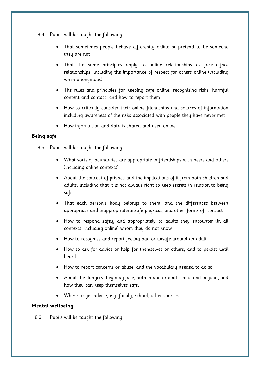- 8.4. Pupils will be taught the following:
	- That sometimes people behave differently online or pretend to be someone they are not
	- That the same principles apply to online relationships as face-to-face relationships, including the importance of respect for others online (including when anonymous)
	- The rules and principles for keeping safe online, recognising risks, harmful content and contact, and how to report them
	- How to critically consider their online friendships and sources of information including awareness of the risks associated with people they have never met
	- How information and data is shared and used online

# **Being safe**

- 8.5. Pupils will be taught the following:
	- What sorts of boundaries are appropriate in friendships with peers and others (including online contexts)
	- About the concept of privacy and the implications of it from both children and adults; including that it is not always right to keep secrets in relation to being safe
	- That each person's body belongs to them, and the differences between appropriate and inappropriate/unsafe physical, and other forms of, contact
	- How to respond safely and appropriately to adults they encounter (in all contexts, including online) whom they do not know
	- How to recognise and report feeling bad or unsafe around an adult
	- How to ask for advice or help for themselves or others, and to persist until heard
	- How to report concerns or abuse, and the vocabulary needed to do so
	- About the dangers they may face, both in and around school and beyond, and how they can keep themselves safe.
	- Where to get advice, e.g. family, school, other sources

# **Mental wellbeing**

8.6. Pupils will be taught the following: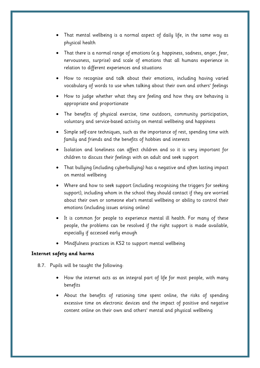- That mental wellbeing is a normal aspect of daily life, in the same way as physical health
- That there is a normal range of emotions (e.g. happiness, sadness, anger, fear, nervousness, surprise) and scale of emotions that all humans experience in relation to different experiences and situations
- How to recognise and talk about their emotions, including having varied vocabulary of words to use when talking about their own and others' feelings
- How to judge whether what they are feeling and how they are behaving is appropriate and proportionate
- The benefits of physical exercise, time outdoors, community participation, voluntary and service-based activity on mental wellbeing and happiness
- Simple self-care techniques, such as the importance of rest, spending time with family and friends and the benefits of hobbies and interests
- Isolation and loneliness can affect children and so it is very important for children to discuss their feelings with an adult and seek support
- That bullying (including cyberbullying) has a negative and often lasting impact on mental wellbeing
- Where and how to seek support (including recognising the triggers for seeking support), including whom in the school they should contact if they are worried about their own or someone else's mental wellbeing or ability to control their emotions (including issues arising online)
- It is common for people to experience mental ill health. For many of these people, the problems can be resolved if the right support is made available, especially if accessed early enough
- Mindfulness practices in KS2 to support mental wellbeing

## **Internet safety and harms**

- 8.7. Pupils will be taught the following:
	- How the internet acts as an integral part of life for most people, with many benefits
	- About the benefits of rationing time spent online, the risks of spending excessive time on electronic devices and the impact of positive and negative content online on their own and others' mental and physical wellbeing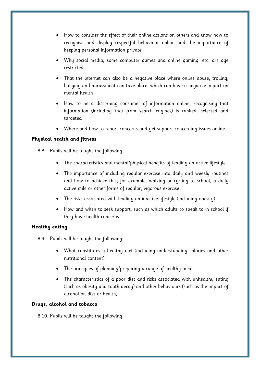- How to consider the effect of their online actions on others and know how to recognise and display respectful behaviour online and the importance of keeping personal information private
- Why social media, some computer games and online gaming, etc. are age restricted
- That the internet can also be a negative place where online abuse, trolling, bullying and harassment can take place, which can have a negative impact on mental health
- How to be a discerning consumer of information online, recognising that information (including that from search engines) is ranked, selected and targeted
- Where and how to report concerns and get support concerning issues online

# **Physical health and fitness**

- 8.8. Pupils will be taught the following:
	- The characteristics and mental/physical benefits of leading an active lifestyle
	- The importance of including regular exercise into daily and weekly routines and how to achieve this; for example, walking or cycling to school, a daily active mile or other forms of regular, vigorous exercise
	- The risks associated with leading an inactive lifestyle (including obesity)
	- How and when to seek support, such as which adults to speak to in school if they have health concerns

# **Healthy eating**

- 8.9. Pupils will be taught the following:
	- What constitutes a healthy diet (including understanding calories and other nutritional content)
	- The principles of planning/preparing a range of healthy meals
	- The characteristics of a poor diet and risks associated with unhealthy eating (such as obesity and tooth decay) and other behaviours (such as the impact of alcohol on diet or health)

# **Drugs, alcohol and tobacco**

8.10. Pupils will be taught the following: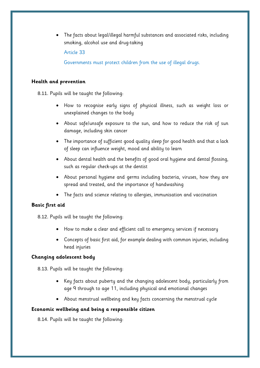• The facts about legal/illegal harmful substances and associated risks, including smoking, alcohol use and drug-taking

Article 33

Governments must protect children from the use of illegal drugs.

## **Health and prevention**

8.11. Pupils will be taught the following:

- How to recognise early signs of physical illness, such as weight loss or unexplained changes to the body
- About safe/unsafe exposure to the sun, and how to reduce the risk of sun damage, including skin cancer
- The importance of sufficient good quality sleep for good health and that a lack of sleep can influence weight, mood and ability to learn
- About dental health and the benefits of good oral hygiene and dental flossing, such as regular check-ups at the dentist
- About personal hygiene and germs including bacteria, viruses, how they are spread and treated, and the importance of handwashing
- The facts and science relating to allergies, immunisation and vaccination

# **Basic first aid**

- 8.12. Pupils will be taught the following:
	- How to make a clear and efficient call to emergency services if necessary
	- Concepts of basic first aid, for example dealing with common injuries, including head injuries

## **Changing adolescent body**

8.13. Pupils will be taught the following:

- Key facts about puberty and the changing adolescent body, particularly from age 9 through to age 11, including physical and emotional changes
- About menstrual wellbeing and key facts concerning the menstrual cycle

## **Economic wellbeing and being a responsible citizen**

8.14. Pupils will be taught the following: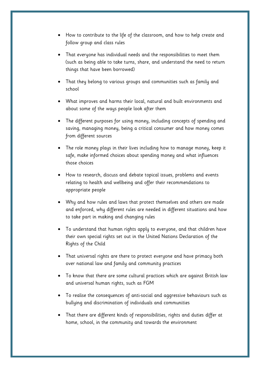- How to contribute to the life of the classroom, and how to help create and follow group and class rules
- That everyone has individual needs and the responsibilities to meet them (such as being able to take turns, share, and understand the need to return things that have been borrowed)
- That they belong to various groups and communities such as family and school
- What improves and harms their local, natural and built environments and about some of the ways people look after them
- The different purposes for using money, including concepts of spending and saving, managing money, being a critical consumer and how money comes from different sources
- The role money plays in their lives including how to manage money, keep it safe, make informed choices about spending money and what influences those choices
- How to research, discuss and debate topical issues, problems and events relating to health and wellbeing and offer their recommendations to appropriate people
- Why and how rules and laws that protect themselves and others are made and enforced, why different rules are needed in different situations and how to take part in making and changing rules
- To understand that human rights apply to everyone, and that children have their own special rights set out in the United Nations Declaration of the Rights of the Child
- That universal rights are there to protect everyone and have primacy both over national law and family and community practices
- To know that there are some cultural practices which are against British law and universal human rights, such as FGM
- To realise the consequences of anti-social and aggressive behaviours such as bullying and discrimination of individuals and communities
- That there are different kinds of responsibilities, rights and duties differ at home, school, in the community and towards the environment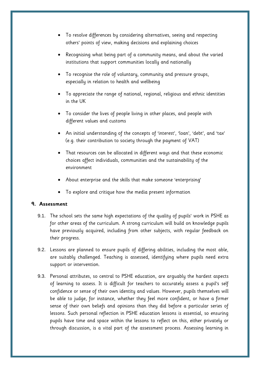- To resolve differences by considering alternatives, seeing and respecting others' points of view, making decisions and explaining choices
- Recognising what being part of a community means, and about the varied institutions that support communities locally and nationally
- To recognise the role of voluntary, community and pressure groups, especially in relation to health and wellbeing
- To appreciate the range of national, regional, religious and ethnic identities in the UK
- To consider the lives of people living in other places, and people with different values and customs
- An initial understanding of the concepts of 'interest', 'loan', 'debt', and 'tax' (e.g. their contribution to society through the payment of VAT)
- That resources can be allocated in different ways and that these economic choices affect individuals, communities and the sustainability of the environment
- About enterprise and the skills that make someone 'enterprising'
- To explore and critique how the media present information

# <span id="page-15-0"></span>**9. Assessment**

- 9.1. The school sets the same high expectations of the quality of pupils' work in PSHE as for other areas of the curriculum. A strong curriculum will build on knowledge pupils have previously acquired, including from other subjects, with regular feedback on their progress.
- 9.2. Lessons are planned to ensure pupils of differing abilities, including the most able, are suitably challenged. Teaching is assessed, identifying where pupils need extra support or intervention.
- 9.3. Personal attributes, so central to PSHE education, are arguably the hardest aspects of learning to assess. It is difficult for teachers to accurately assess a pupil's self confidence or sense of their own identity and values. However, pupils themselves will be able to judge, for instance, whether they feel more confident, or have a firmer sense of their own beliefs and opinions than they did before a particular series of lessons. Such personal reflection in PSHE education lessons is essential, so ensuring pupils have time and space within the lessons to reflect on this, either privately or through discussion, is a vital part of the assessment process. Assessing learning in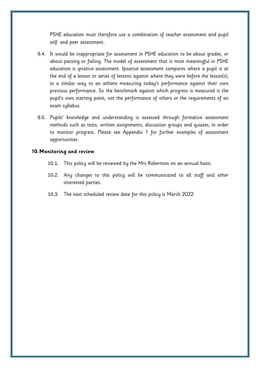PSHE education must therefore use a combination of teacher assessment and pupil self- and peer assessment.

- 9.4. It would be inappropriate for assessment in PSHE education to be about grades, or about passing or failing. The model of assessment that is most meaningful in PSHE education is ipsative assessment. Ipsative assessment compares where a pupil is at the end of a lesson or series of lessons against where they were before the lesson(s), in a similar way to an athlete measuring today's performance against their own previous performance. So the benchmark against which progress is measured is the pupil's own starting point, not the performance of others or the requirements of an exam syllabus.
- 9.5. Pupils' knowledge and understanding is assessed through formative assessment methods such as tests, written assignments, discussion groups and quizzes, in order to monitor progress. Please see Appendix 1 for further examples of assessment opportunities.

#### <span id="page-16-0"></span>**10.Monitoring and review**

- 10.1. This policy will be reviewed by the Mrs Robertson on an annual basis.
- 10.2. Any changes to this policy will be communicated to all staff and other interested parties.
- 10.3. The next scheduled review date for this policy is March 2022.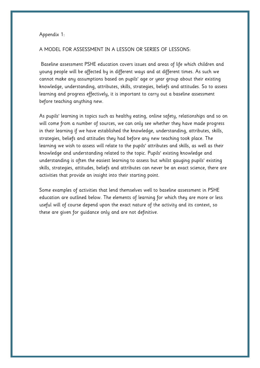#### Appendix 1:

#### A MODEL FOR ASSESSMENT IN A LESSON OR SERIES OF LESSONS:

Baseline assessment PSHE education covers issues and areas of life which children and young people will be affected by in different ways and at different times. As such we cannot make any assumptions based on pupils' age or year group about their existing knowledge, understanding, attributes, skills, strategies, beliefs and attitudes. So to assess learning and progress effectively, it is important to carry out a baseline assessment before teaching anything new.

As pupils' learning in topics such as healthy eating, online safety, relationships and so on will come from a number of sources, we can only see whether they have made progress in their learning if we have established the knowledge, understanding, attributes, skills, strategies, beliefs and attitudes they had before any new teaching took place. The learning we wish to assess will relate to the pupils' attributes and skills, as well as their knowledge and understanding related to the topic. Pupils' existing knowledge and understanding is often the easiest learning to assess but whilst gauging pupils' existing skills, strategies, attitudes, beliefs and attributes can never be an exact science, there are activities that provide an insight into their starting point.

Some examples of activities that lend themselves well to baseline assessment in PSHE education are outlined below. The elements of learning for which they are more or less useful will of course depend upon the exact nature of the activity and its context, so these are given for guidance only and are not definitive.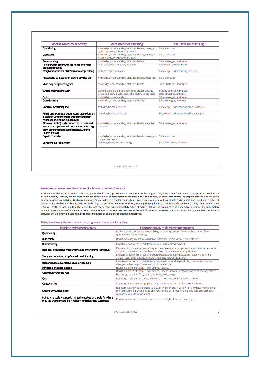| Baseline assessment activity:                                                                                                                                          | More useful for assessing:                                                                                          | Less useful for assessing:                                       |
|------------------------------------------------------------------------------------------------------------------------------------------------------------------------|---------------------------------------------------------------------------------------------------------------------|------------------------------------------------------------------|
| Questioning                                                                                                                                                            | Knowledge, understanding, attitudes, beliefs, strategies,<br>pupils' questions relating to the topic                | Skills, attributes                                               |
| Discussion                                                                                                                                                             | Knowledge, understanding, attitudes, beliefs, strategies,<br>pupils' questions relating to the topic                | Skills, attributes                                               |
| <b>Brainstorming</b>                                                                                                                                                   | Knowledge, understanding, attitudes, beliefs                                                                        | Skills, strategies, attributes                                   |
| Role-play, hot-seating, freeze-frame and other<br>drama techniques                                                                                                     | Skills, strategies, attributes, attitudes                                                                           | Knowledge, understanding                                         |
| Storyboards/cartoon strip/scenario script writing                                                                                                                      | Skills, strategies, attitudes                                                                                       | Knowledge, understanding, attributes                             |
| Responding to a scenario, picture or video dip                                                                                                                         | Knowledge, understanding, attitudes, beliefs, strategies                                                            | Skills, attributes                                               |
| Mind map or spider diagram                                                                                                                                             | Knowledge, understanding, attitudes, beliefs                                                                        | Skills, strategies, attributes                                   |
| 'Graffiti wall'/working wall'                                                                                                                                          | Starting point of a group, knowledge, understanding,<br>attitudes, beliefs, pupils' questions relating to the topic | Starting point of individuals,<br>skills, strategies, attributes |
| Quiz                                                                                                                                                                   | Knowledge, understanding                                                                                            | Skills, strategies, attributes                                   |
| Questionnaire                                                                                                                                                          | Knowledge, understanding, attitudes, beliefs                                                                        | Skills, strategies, attributes                                   |
| Continuum/washing line'                                                                                                                                                | Attitudes, beliefs, attributes                                                                                      | Knowledge, understanding, skills, strategies                     |
| Points on a scale (e.g. pupils rating themselves on<br>a scale for where they see themselves to be in<br>relation to the learning outcomes)                            | Attitudes, beliefs, attributes                                                                                      | Knowledge, understanding, skills, strategies                     |
| 'Draw and write' (pupils respond in pictures and<br>words to an open-ended, neutral instruction: e.g.<br>draw someone doing something risky, draw a<br>healthy person) | Knowledge, understanding, attitudes, beliefs, complex<br>concepts                                                   | Skills, strategies, attributes                                   |
| Explain to an allen                                                                                                                                                    | Knowledge, understanding, attitudes, beliefs, strategies,<br>complex concepts                                       | Skills, attributes                                               |
| Card sort, e.g. 'diamond 9'                                                                                                                                            | Attitudes, beliefs, understanding                                                                                   | Skills, knowledge, attributes                                    |

**OPSHE Association 2020** 

#### Assessing progress over the course of a lesson or series of lessons

At the end of the lesson or series of lessons, pupils should have opportunities to demonstrate the progress they have made from their starting point assessed in the baseline activity. Possibly the simplest and most effecti colour to add to their baseline activity and make any changes they now want to make, allowing the pupil and teacher to clearly see how far they have come in their learning. In other cases, pupils might repeat the activity or carry out a completely different activity. Taking the examples of baseline activities above, the table below indicates possible ways of revisiting or using those activities to demonstrate progress at the end of the lesson or series of lessons. Again this is not a definitive list and activities should always be used flexibly to me

#### Using baseline activities to measure progress in the endpoint activity

| Baseline assessment activity                                                                                                             | Endpoint activity to demonstrate progress                                                                                                                                                                                     |
|------------------------------------------------------------------------------------------------------------------------------------------|-------------------------------------------------------------------------------------------------------------------------------------------------------------------------------------------------------------------------------|
| Questioning                                                                                                                              | Revisit key questions, extending with higher order questions. Invite pupils to think of key<br>questions for future learning.                                                                                                 |
| <b>Discussion</b>                                                                                                                        | Revisit main arguments from baseline discussion; formal debate; presentations.                                                                                                                                                |
| Brainstorming                                                                                                                            | If written down, revisit in a different colour - add, amend, expand.                                                                                                                                                          |
| Role-play, hot-seating, freeze-frame and other drama techniques                                                                          | Repeat activity, showing how strategies have developed/changed and demonstrating new skills;<br>script a conversation or role-play on a related but more challenging situation.                                               |
| Storyboards/cartoon strip/scenario script writing                                                                                        | Evaluate effectiveness of baseline strategies/ideas through discussion; revisit in a different<br>colour - add, amend, expand, change; role-play their revised script.                                                        |
| Responding to a scenario, picture or video dip                                                                                           | If written down, revisit in a different colour - add, amend, expand; discuss or write down any<br>changes to their response as a result of the learning.                                                                      |
| Mind map or spider diagram                                                                                                               | Revisit in a different colour - add, amend, expand.                                                                                                                                                                           |
| 'Graffiti wall'/working wall'                                                                                                            | Revisit in a different colour - add, amend, expand; answer questions written on the wall at the<br>beginning and think of key questions for future learning.                                                                  |
| Quiz                                                                                                                                     | Repeat quiz; ask pupils to write a new set of quiz questions for peers to answer.                                                                                                                                             |
| Questionnaire                                                                                                                            | Repeat questionnaire; ask pupils to write a new questionnaire for peers to answer.                                                                                                                                            |
| Continuum/washing line                                                                                                                   | Repeat the activity, asking pupils to discuss whether- and if so how far- they have moved along<br>the continuum and why; photograph new continuum or washing line positions and compare<br>with photo of baseline positions. |
| Points on a scale (e.g. pupils rating themselves on a scale for where<br>they see themselves to be in relation to the learning outcomes) | Pupils rate themselves on the same scale in the light of the new learning.                                                                                                                                                    |

OPSHE Association 2020

 $\overline{a}$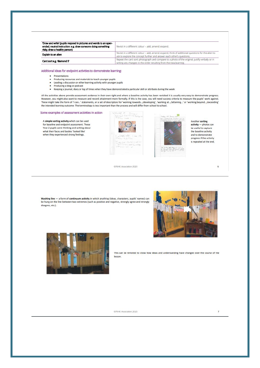| 'Draw and write' (pupils respond in pictures and words to an open-<br>ended, neutral instruction: e.g. draw someone doing something<br>risky, draw a healthy person) | Revisit in a different colour - add, amend, expand.                                                                                                                         |
|----------------------------------------------------------------------------------------------------------------------------------------------------------------------|-----------------------------------------------------------------------------------------------------------------------------------------------------------------------------|
| Explain to an allen                                                                                                                                                  | Revisit in a different colour - add, amend, expand; think of additional questions for the alien to<br>ask to explore the concept further and answer each other's questions. |
| Card sort e.g. 'diamond 9'                                                                                                                                           | Repeat the card sort; photograph and compare to a photo of the original; justify verbally or in<br>writing any changes to the order resulting from the new learning.        |

Additional ideas for endpoint activities to demonstrate learning:

- Presentations
- Producing resources and materials to teach younger pupils
- Leading a discussion or other learning activity with younger pupils
- Producing a blog or podcast
- Keeping a journal, diary or log of times when they have demonstrated a particular skill or attribute during the week

All the activities above provide assessment evidence in their own right and where a baseline activity has been revisited it is usually very easy to demonstrate progress. However, you might also want to measure and record attainment more formally. If this is the case, you will need success criteria to measure the pupils' work against.<br>These might take the form of 'I can...' statements, or a the intended learning outcome. The terminology is less important than the process and will differ from school to school.

#### Some examples of assessment activities in action

A simple sorting activity which can be used for baseline and endpoint assessment. These Year 2 pupils were thinking and writing about what their faces and bodies 'looked like' when they experienced strong feelings.





Another sorting activity - photos can be useful to capture the baseline activity and to demonstrate progress if the activity is repeated at the end.

6

OPSHE Association 2020

Washing line - a form of continuum activity in which anything (ideas, characters, pupils' names) can be hung on the line between two extremes (such as positive and negative, strongly agree and strongly disagree, etc.).





This can be revisited to show how ideas and understanding have changed over the course of the lesson.

OPSHE Association 2020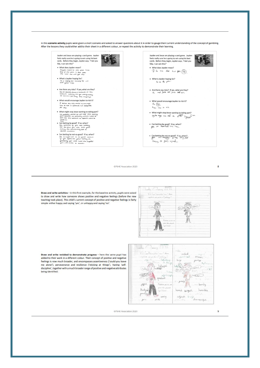In this scenario activity pupils were given a short scenario and asked to answer questions about it in order to gauge their current understanding of the concept of gambling. After the lessons they could either add to their sheet in a different colour, or repeat the activity to demonstrate their learning.



OPSHE Association 2020

Draw and write activities - in this first example, for the baseline activity, pupils were asked to draw and write how someone shows positive and negative feelings (before the new teaching took place). This child's current concept of positive and negative feelings is fairly simple: either happy and saying 'yes', or unhappy and saying 'no'.



Draw and write revisited to demonstrate progress - here the same pupil has added to their work in a different colour. Their concept of positive and negative feelings is now much broader, and encompasses assertiveness ('could you leave me alone'), perseverance and resilience ('sticking at things'), having 'selfdiscipline', together with a much broader range of positive and negative attributes being identified:

Loday C. January 2016 ildu. KO Carl Angiely Trent Sheet cardinal unless mean! tive my produce? pastings {<br>\_ega = t  $g_{\text{loop}}$  $_{key}$ Hilligs helpynt (Indian )  $\tau_{\rm obs}$ GAZON shoot resulient  $69$  $\frac{1}{\sqrt{2}}$  $\cdots$  being dellar Pattick at Jmm Nic ylond thank yel harrid spiggill harrible .<br>Yoʻlan ₩ **Aug 11** salpish by liveraging centra  $\sim$  politic  $\mu$ 

OPSHE Association 2020

8